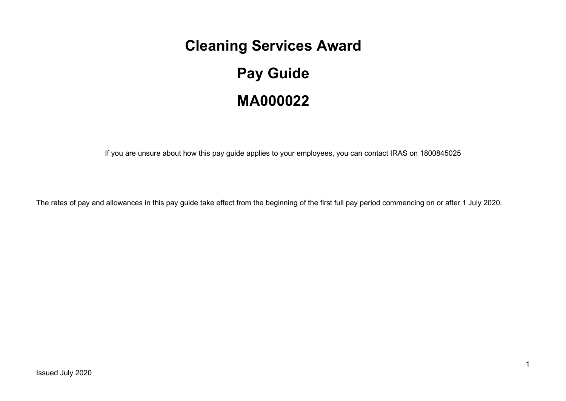# **Cleaning Services Award**

# **Pay Guide MA000022**

If you are unsure about how this pay guide applies to your employees, you can contact IRAS on 1800845025

The rates of pay and allowances in this pay guide take effect from the beginning of the first full pay period commencing on or after 1 July 2020.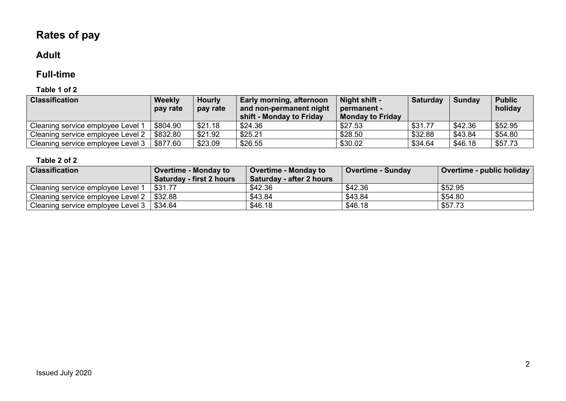# **Rates of pay**

# **Adult**

# **Full-time**

#### **Table 1 of 2**

| <b>Classification</b>             | <b>Weekly</b><br>pay rate | <b>Hourly</b><br>pay rate | Early morning, afternoon<br>and non-permanent night<br>shift - Monday to Friday | Night shift -<br>permanent -<br><b>Monday to Friday</b> | <b>Saturday</b> | <b>Sunday</b> | <b>Public</b><br>holiday |
|-----------------------------------|---------------------------|---------------------------|---------------------------------------------------------------------------------|---------------------------------------------------------|-----------------|---------------|--------------------------|
| Cleaning service employee Level   | \$804.90                  | \$21.18                   | \$24.36                                                                         | \$27.53                                                 | \$31.77         | \$42.36       | \$52.95                  |
| Cleaning service employee Level 2 | \$832.80                  | \$21.92                   | \$25.21                                                                         | \$28.50                                                 | \$32.88         | \$43.84       | \$54.80                  |
| Cleaning service employee Level 3 | \$877.60                  | \$23.09                   | \$26.55                                                                         | \$30.02                                                 | \$34.64         | \$46.18       | \$57.73                  |

| <b>Classification</b>             | <b>Overtime - Monday to</b><br><b>Saturday - first 2 hours</b> | <b>Overtime - Monday to</b><br><b>Saturday - after 2 hours</b> | <b>Overtime - Sunday</b> | Overtime - public holiday |
|-----------------------------------|----------------------------------------------------------------|----------------------------------------------------------------|--------------------------|---------------------------|
| Cleaning service employee Level 1 | \$31.77                                                        | \$42.36                                                        | \$42.36                  | \$52.95                   |
| Cleaning service employee Level 2 | \$32.88                                                        | \$43.84                                                        | \$43.84                  | \$54.80                   |
| Cleaning service employee Level 3 | \$34.64                                                        | \$46.18                                                        | \$46.18                  | \$57.73                   |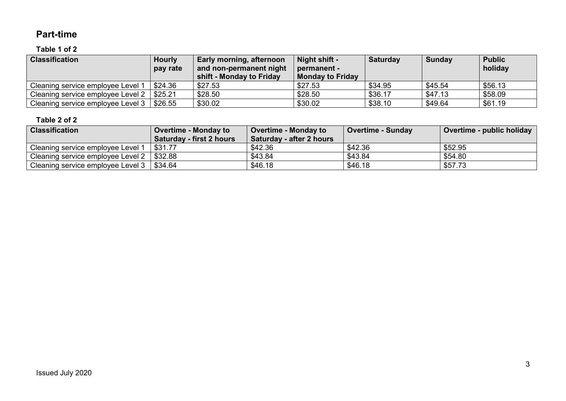### **Part-time**

#### **Table 1 of 2**

| <b>Classification</b>             | <b>Hourly</b><br>pay rate | Early morning, afternoon<br>and non-permanent night<br>shift - Monday to Friday | Night shift -<br>permanent -<br><b>Monday to Friday</b> | <b>Saturday</b> | Sunday  | <b>Public</b><br>holiday |
|-----------------------------------|---------------------------|---------------------------------------------------------------------------------|---------------------------------------------------------|-----------------|---------|--------------------------|
| Cleaning service employee Level 1 | \$24.36                   | \$27.53                                                                         | \$27.53                                                 | \$34.95         | \$45.54 | \$56.13                  |
| Cleaning service employee Level 2 | \$25.21                   | \$28.50                                                                         | \$28.50                                                 | \$36.17         | \$47.13 | \$58.09                  |
| Cleaning service employee Level 3 | \$26.55                   | \$30.02                                                                         | \$30.02                                                 | \$38.10         | \$49.64 | \$61.19                  |

| <b>Classification</b>             | <b>Overtime - Monday to</b> | <b>Overtime - Monday to</b> | <b>Overtime - Sunday</b> | Overtime - public holiday |
|-----------------------------------|-----------------------------|-----------------------------|--------------------------|---------------------------|
|                                   | Saturday - first 2 hours    | Saturday - after 2 hours    |                          |                           |
| Cleaning service employee Level 1 | \$31.77                     | \$42.36                     | \$42.36                  | \$52.95                   |
| Cleaning service employee Level 2 | \$32.88                     | \$43.84                     | \$43.84                  | \$54.80                   |
| Cleaning service employee Level 3 | \$34.64                     | \$46.18                     | \$46.18                  | \$57.73                   |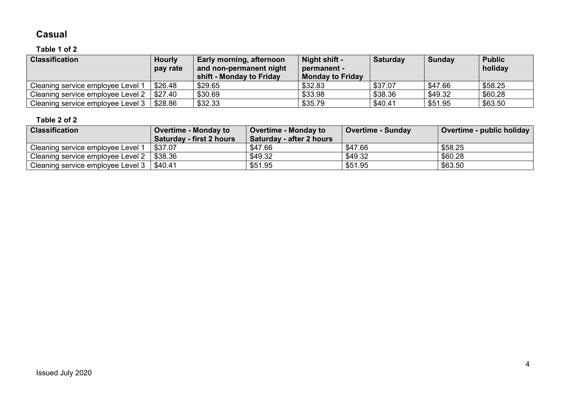# **Casual**

# **Table 1 of 2**

| <b>Classification</b>             | <b>Hourly</b><br>pay rate | Early morning, afternoon<br>and non-permanent night<br>shift - Monday to Friday | Night shift -<br>permanent -<br><b>Monday to Friday</b> | <b>Saturday</b> | <b>Sunday</b> | <b>Public</b><br>holiday |
|-----------------------------------|---------------------------|---------------------------------------------------------------------------------|---------------------------------------------------------|-----------------|---------------|--------------------------|
| Cleaning service employee Level 1 | \$26.48                   | \$29.65                                                                         | \$32.83                                                 | \$37.07         | \$47.66       | \$58.25                  |
| Cleaning service employee Level 2 | \$27.40                   | \$30.69                                                                         | \$33.98                                                 | \$38.36         | \$49.32       | \$60.28                  |
| Cleaning service employee Level 3 | \$28.86                   | \$32.33                                                                         | \$35.79                                                 | \$40.41         | \$51.95       | \$63.50                  |

| <b>Classification</b>             | <b>Overtime - Monday to</b> | <b>Overtime - Monday to</b> | <b>Overtime - Sunday</b> | Overtime - public holiday |
|-----------------------------------|-----------------------------|-----------------------------|--------------------------|---------------------------|
|                                   | Saturday - first 2 hours    | Saturday - after 2 hours    |                          |                           |
| Cleaning service employee Level 1 | \$37.07                     | \$47.66                     | \$47.66                  | \$58.25                   |
| Cleaning service employee Level 2 | \$38.36                     | \$49.32                     | \$49.32                  | \$60.28                   |
| Cleaning service employee Level 3 | \$40.41                     | \$51.95                     | \$51.95                  | \$63.50                   |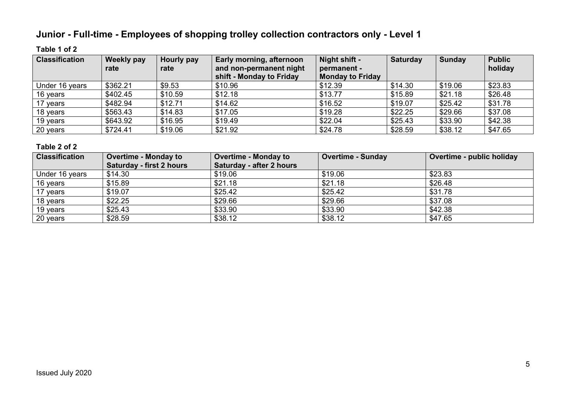# **Junior - Full-time - Employees of shopping trolley collection contractors only - Level 1**

#### **Table 1 of 2**

| <b>Classification</b> | Weekly pay<br>rate | Hourly pay<br>rate | Early morning, afternoon<br>and non-permanent night<br>shift - Monday to Friday | Night shift -<br>permanent -<br><b>Monday to Friday</b> | <b>Saturday</b> | <b>Sunday</b> | <b>Public</b><br>holiday |
|-----------------------|--------------------|--------------------|---------------------------------------------------------------------------------|---------------------------------------------------------|-----------------|---------------|--------------------------|
| Under 16 years        | \$362.21           | \$9.53             | \$10.96                                                                         | \$12.39                                                 | \$14.30         | \$19.06       | \$23.83                  |
| 16 years              | \$402.45           | \$10.59            | \$12.18                                                                         | \$13.77                                                 | \$15.89         | \$21.18       | \$26.48                  |
| 17 years              | \$482.94           | \$12.71            | \$14.62                                                                         | \$16.52                                                 | \$19.07         | \$25.42       | \$31.78                  |
| 18 years              | \$563.43           | \$14.83            | \$17.05                                                                         | \$19.28                                                 | \$22.25         | \$29.66       | \$37.08                  |
| 19 years              | \$643.92           | \$16.95            | \$19.49                                                                         | \$22.04                                                 | \$25.43         | \$33.90       | \$42.38                  |
| 20 years              | \$724.41           | \$19.06            | \$21.92                                                                         | \$24.78                                                 | \$28.59         | \$38.12       | \$47.65                  |

| <b>Classification</b> | <b>Overtime - Monday to</b>     | <b>Overtime - Monday to</b> | <b>Overtime - Sunday</b> | Overtime - public holiday |
|-----------------------|---------------------------------|-----------------------------|--------------------------|---------------------------|
|                       | <b>Saturday - first 2 hours</b> | Saturday - after 2 hours    |                          |                           |
| Under 16 years        | \$14.30                         | \$19.06                     | \$19.06                  | \$23.83                   |
| 16 years              | \$15.89                         | \$21.18                     | \$21.18                  | \$26.48                   |
| 17 years              | \$19.07                         | \$25.42                     | \$25.42                  | \$31.78                   |
| 18 years              | \$22.25                         | \$29.66                     | \$29.66                  | \$37.08                   |
| 19 years              | \$25.43                         | \$33.90                     | \$33.90                  | \$42.38                   |
| 20 years              | \$28.59                         | \$38.12                     | \$38.12                  | \$47.65                   |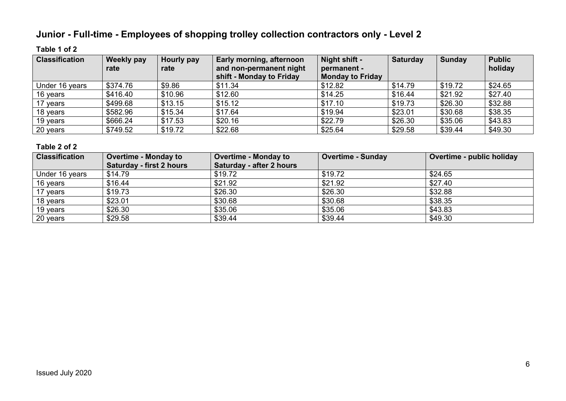# **Junior - Full-time - Employees of shopping trolley collection contractors only - Level 2**

#### **Table 1 of 2**

| <b>Classification</b> | <b>Weekly pay</b><br>rate | Hourly pay<br>rate | Early morning, afternoon<br>and non-permanent night<br>shift - Monday to Friday | Night shift -<br>permanent -<br><b>Monday to Friday</b> | <b>Saturday</b> | <b>Sunday</b> | <b>Public</b><br>holiday |
|-----------------------|---------------------------|--------------------|---------------------------------------------------------------------------------|---------------------------------------------------------|-----------------|---------------|--------------------------|
| Under 16 years        | \$374.76                  | \$9.86             | \$11.34                                                                         | \$12.82                                                 | \$14.79         | \$19.72       | \$24.65                  |
| 16 years              | \$416.40                  | \$10.96            | \$12.60                                                                         | \$14.25                                                 | \$16.44         | \$21.92       | \$27.40                  |
| 17 years              | \$499.68                  | \$13.15            | \$15.12                                                                         | \$17.10                                                 | \$19.73         | \$26.30       | \$32.88                  |
| 18 years              | \$582.96                  | \$15.34            | \$17.64                                                                         | \$19.94                                                 | \$23.01         | \$30.68       | \$38.35                  |
| 19 years              | \$666.24                  | \$17.53            | \$20.16                                                                         | \$22.79                                                 | \$26.30         | \$35.06       | \$43.83                  |
| 20 years              | \$749.52                  | \$19.72            | \$22.68                                                                         | \$25.64                                                 | \$29.58         | \$39.44       | \$49.30                  |

| <b>Classification</b> | <b>Overtime - Monday to</b><br><b>Saturday - first 2 hours</b> | <b>Overtime - Monday to</b><br><b>Saturday - after 2 hours</b> | <b>Overtime - Sunday</b> | Overtime - public holiday |
|-----------------------|----------------------------------------------------------------|----------------------------------------------------------------|--------------------------|---------------------------|
| Under 16 years        | \$14.79                                                        | \$19.72                                                        | \$19.72                  | \$24.65                   |
| 16 years              | \$16.44                                                        | \$21.92                                                        | \$21.92                  | \$27.40                   |
| 17 years              | \$19.73                                                        | \$26.30                                                        | \$26.30                  | \$32.88                   |
| 18 years              | \$23.01                                                        | \$30.68                                                        | \$30.68                  | \$38.35                   |
| 19 years              | \$26.30                                                        | \$35.06                                                        | \$35.06                  | \$43.83                   |
| 20 years              | \$29.58                                                        | \$39.44                                                        | \$39.44                  | \$49.30                   |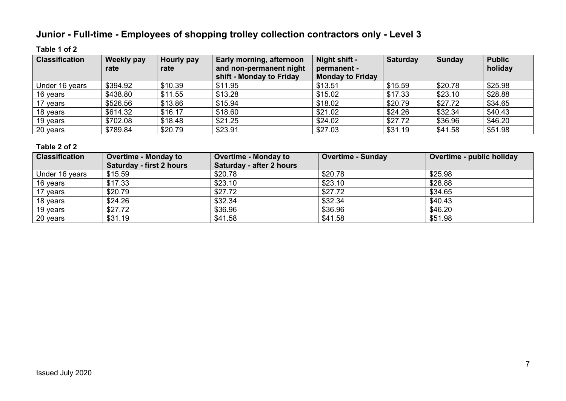# **Junior - Full-time - Employees of shopping trolley collection contractors only - Level 3**

#### **Table 1 of 2**

| <b>Classification</b> | <b>Weekly pay</b><br>rate | Hourly pay<br>rate | Early morning, afternoon<br>and non-permanent night<br>shift - Monday to Friday | Night shift -<br>permanent -<br><b>Monday to Friday</b> | <b>Saturday</b> | <b>Sunday</b> | <b>Public</b><br>holiday |
|-----------------------|---------------------------|--------------------|---------------------------------------------------------------------------------|---------------------------------------------------------|-----------------|---------------|--------------------------|
| Under 16 years        | \$394.92                  | \$10.39            | \$11.95                                                                         | \$13.51                                                 | \$15.59         | \$20.78       | \$25.98                  |
| 16 years              | \$438.80                  | \$11.55            | \$13.28                                                                         | \$15.02                                                 | \$17.33         | \$23.10       | \$28.88                  |
| 17 years              | \$526.56                  | \$13.86            | \$15.94                                                                         | \$18.02                                                 | \$20.79         | \$27.72       | \$34.65                  |
| 18 years              | \$614.32                  | \$16.17            | \$18.60                                                                         | \$21.02                                                 | \$24.26         | \$32.34       | \$40.43                  |
| 19 years              | \$702.08                  | \$18.48            | \$21.25                                                                         | \$24.02                                                 | \$27.72         | \$36.96       | \$46.20                  |
| 20 years              | \$789.84                  | \$20.79            | \$23.91                                                                         | \$27.03                                                 | \$31.19         | \$41.58       | \$51.98                  |

| <b>Classification</b> | <b>Overtime - Monday to</b> | <b>Overtime - Monday to</b> | <b>Overtime - Sunday</b> | Overtime - public holiday |
|-----------------------|-----------------------------|-----------------------------|--------------------------|---------------------------|
|                       | Saturday - first 2 hours    | Saturday - after 2 hours    |                          |                           |
| Under 16 years        | \$15.59                     | \$20.78                     | \$20.78                  | \$25.98                   |
| 16 years              | \$17.33                     | \$23.10                     | \$23.10                  | \$28.88                   |
| 17 years              | \$20.79                     | \$27.72                     | \$27.72                  | \$34.65                   |
| 18 years              | \$24.26                     | \$32.34                     | \$32.34                  | \$40.43                   |
| 19 years              | \$27.72                     | \$36.96                     | \$36.96                  | \$46.20                   |
| 20 years              | \$31.19                     | \$41.58                     | \$41.58                  | \$51.98                   |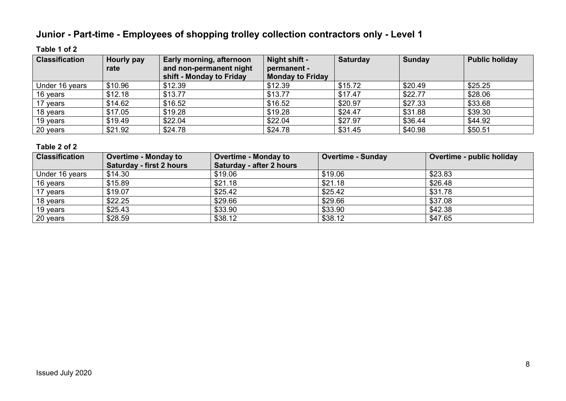# **Junior - Part-time - Employees of shopping trolley collection contractors only - Level 1**

#### **Table 1 of 2**

| <b>Classification</b> | Hourly pay | Early morning, afternoon | Night shift -           | <b>Saturday</b> | <b>Sunday</b> | <b>Public holiday</b> |
|-----------------------|------------|--------------------------|-------------------------|-----------------|---------------|-----------------------|
|                       | rate       | and non-permanent night  | permanent -             |                 |               |                       |
|                       |            | shift - Monday to Friday | <b>Monday to Friday</b> |                 |               |                       |
| Under 16 years        | \$10.96    | \$12.39                  | \$12.39                 | \$15.72         | \$20.49       | \$25.25               |
| 16 years              | \$12.18    | \$13.77                  | \$13.77                 | \$17.47         | \$22.77       | \$28.06               |
| 17 years              | \$14.62    | \$16.52                  | \$16.52                 | \$20.97         | \$27.33       | \$33.68               |
| 18 years              | \$17.05    | \$19.28                  | \$19.28                 | \$24.47         | \$31.88       | \$39.30               |
| 19 years              | \$19.49    | \$22.04                  | \$22.04                 | \$27.97         | \$36.44       | \$44.92               |
| 20 years              | \$21.92    | \$24.78                  | \$24.78                 | \$31.45         | \$40.98       | \$50.51               |

| <b>Classification</b> | <b>Overtime - Monday to</b> | <b>Overtime - Monday to</b> | <b>Overtime - Sunday</b> | Overtime - public holiday |
|-----------------------|-----------------------------|-----------------------------|--------------------------|---------------------------|
|                       | Saturday - first 2 hours    | Saturday - after 2 hours    |                          |                           |
| Under 16 years        | \$14.30                     | \$19.06                     | \$19.06                  | \$23.83                   |
| 16 years              | \$15.89                     | \$21.18                     | \$21.18                  | \$26.48                   |
| 17 years              | \$19.07                     | \$25.42                     | \$25.42                  | \$31.78                   |
| 18 years              | \$22.25                     | \$29.66                     | \$29.66                  | \$37.08                   |
| 19 years              | \$25.43                     | \$33.90                     | \$33.90                  | \$42.38                   |
| 20 years              | \$28.59                     | \$38.12                     | \$38.12                  | \$47.65                   |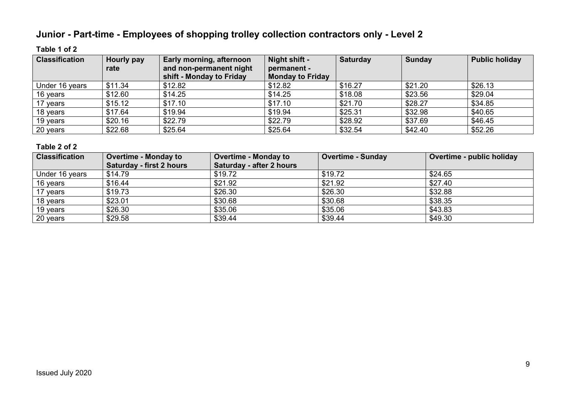# **Junior - Part-time - Employees of shopping trolley collection contractors only - Level 2**

#### **Table 1 of 2**

| <b>Classification</b> | <b>Hourly pay</b> | Early morning, afternoon | Night shift -           | <b>Saturday</b> | <b>Sunday</b> | <b>Public holiday</b> |
|-----------------------|-------------------|--------------------------|-------------------------|-----------------|---------------|-----------------------|
|                       | rate              | and non-permanent night  | permanent -             |                 |               |                       |
|                       |                   | shift - Monday to Friday | <b>Monday to Friday</b> |                 |               |                       |
| Under 16 years        | \$11.34           | \$12.82                  | \$12.82                 | \$16.27         | \$21.20       | \$26.13               |
| 16 years              | \$12.60           | \$14.25                  | \$14.25                 | \$18.08         | \$23.56       | \$29.04               |
| 17 years              | \$15.12           | \$17.10                  | \$17.10                 | \$21.70         | \$28.27       | \$34.85               |
| 18 years              | \$17.64           | \$19.94                  | \$19.94                 | \$25.31         | \$32.98       | \$40.65               |
| 19 years              | \$20.16           | \$22.79                  | \$22.79                 | \$28.92         | \$37.69       | \$46.45               |
| 20 years              | \$22.68           | \$25.64                  | \$25.64                 | \$32.54         | \$42.40       | \$52.26               |

| <b>Classification</b> | <b>Overtime - Monday to</b> | <b>Overtime - Monday to</b> | <b>Overtime - Sunday</b> | Overtime - public holiday |
|-----------------------|-----------------------------|-----------------------------|--------------------------|---------------------------|
|                       | Saturday - first 2 hours    | Saturday - after 2 hours    |                          |                           |
| Under 16 years        | \$14.79                     | \$19.72                     | \$19.72                  | \$24.65                   |
| 16 years              | \$16.44                     | \$21.92                     | \$21.92                  | \$27.40                   |
| 17 years              | \$19.73                     | \$26.30                     | \$26.30                  | \$32.88                   |
| 18 years              | \$23.01                     | \$30.68                     | \$30.68                  | \$38.35                   |
| 19 years              | \$26.30                     | \$35.06                     | \$35.06                  | \$43.83                   |
| 20 years              | \$29.58                     | \$39.44                     | \$39.44                  | \$49.30                   |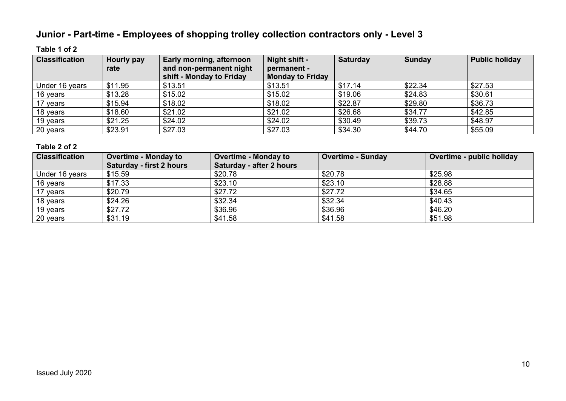# **Junior - Part-time - Employees of shopping trolley collection contractors only - Level 3**

#### **Table 1 of 2**

| <b>Classification</b> | Hourly pay | Early morning, afternoon | Night shift -           | <b>Saturday</b> | <b>Sunday</b> | <b>Public holiday</b> |
|-----------------------|------------|--------------------------|-------------------------|-----------------|---------------|-----------------------|
|                       | rate       | and non-permanent night  | permanent -             |                 |               |                       |
|                       |            | shift - Monday to Friday | <b>Monday to Friday</b> |                 |               |                       |
| Under 16 years        | \$11.95    | \$13.51                  | \$13.51                 | \$17.14         | \$22.34       | \$27.53               |
| 16 years              | \$13.28    | \$15.02                  | \$15.02                 | \$19.06         | \$24.83       | \$30.61               |
| 17 years              | \$15.94    | \$18.02                  | \$18.02                 | \$22.87         | \$29.80       | \$36.73               |
| 18 years              | \$18.60    | \$21.02                  | \$21.02                 | \$26.68         | \$34.77       | \$42.85               |
| 19 years              | \$21.25    | \$24.02                  | \$24.02                 | \$30.49         | \$39.73       | \$48.97               |
| 20 years              | \$23.91    | \$27.03                  | \$27.03                 | \$34.30         | \$44.70       | \$55.09               |

| <b>Classification</b> | <b>Overtime - Monday to</b> | <b>Overtime - Monday to</b> | <b>Overtime - Sunday</b> | Overtime - public holiday |
|-----------------------|-----------------------------|-----------------------------|--------------------------|---------------------------|
|                       | Saturday - first 2 hours    | Saturday - after 2 hours    |                          |                           |
| Under 16 years        | \$15.59                     | \$20.78                     | \$20.78                  | \$25.98                   |
| 16 years              | \$17.33                     | \$23.10                     | \$23.10                  | \$28.88                   |
| 17 years              | \$20.79                     | \$27.72                     | \$27.72                  | \$34.65                   |
| 18 years              | \$24.26                     | \$32.34                     | \$32.34                  | \$40.43                   |
| 19 years              | \$27.72                     | \$36.96                     | \$36.96                  | \$46.20                   |
| 20 years              | \$31.19                     | \$41.58                     | \$41.58                  | \$51.98                   |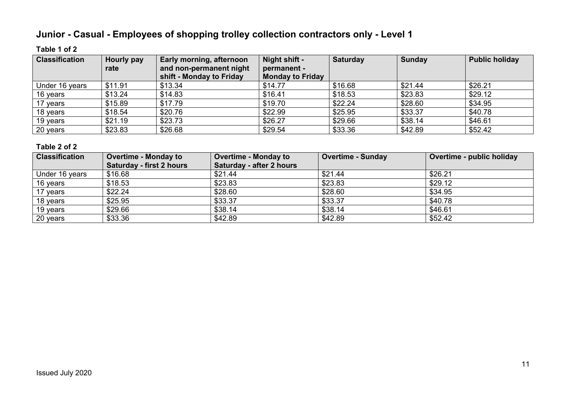# **Junior - Casual - Employees of shopping trolley collection contractors only - Level 1**

#### **Table 1 of 2**

| <b>Classification</b> | Hourly pay<br>rate | <b>Early morning, afternoon</b><br>and non-permanent night<br>shift - Monday to Friday | Night shift -<br>permanent -<br><b>Monday to Friday</b> | <b>Saturday</b> | <b>Sunday</b> | <b>Public holiday</b> |
|-----------------------|--------------------|----------------------------------------------------------------------------------------|---------------------------------------------------------|-----------------|---------------|-----------------------|
| Under 16 years        | \$11.91            | \$13.34                                                                                | \$14.77                                                 | \$16.68         | \$21.44       | \$26.21               |
| 16 years              | \$13.24            | \$14.83                                                                                | \$16.41                                                 | \$18.53         | \$23.83       | \$29.12               |
| 17 years              | \$15.89            | \$17.79                                                                                | \$19.70                                                 | \$22.24         | \$28.60       | \$34.95               |
| 18 years              | \$18.54            | \$20.76                                                                                | \$22.99                                                 | \$25.95         | \$33.37       | \$40.78               |
| 19 years              | \$21.19            | \$23.73                                                                                | \$26.27                                                 | \$29.66         | \$38.14       | \$46.61               |
| 20 years              | \$23.83            | \$26.68                                                                                | \$29.54                                                 | \$33.36         | \$42.89       | \$52.42               |

| <b>Classification</b> | <b>Overtime - Monday to</b> | <b>Overtime - Monday to</b> | <b>Overtime - Sunday</b> | Overtime - public holiday |
|-----------------------|-----------------------------|-----------------------------|--------------------------|---------------------------|
|                       | Saturday - first 2 hours    | Saturday - after 2 hours    |                          |                           |
| Under 16 years        | \$16.68                     | \$21.44                     | \$21.44                  | \$26.21                   |
| 16 years              | \$18.53                     | \$23.83                     | \$23.83                  | \$29.12                   |
| 17 years              | \$22.24                     | \$28.60                     | \$28.60                  | \$34.95                   |
| 18 years              | \$25.95                     | \$33.37                     | \$33.37                  | \$40.78                   |
| 19 years              | \$29.66                     | \$38.14                     | \$38.14                  | \$46.61                   |
| 20 years              | \$33.36                     | \$42.89                     | \$42.89                  | \$52.42                   |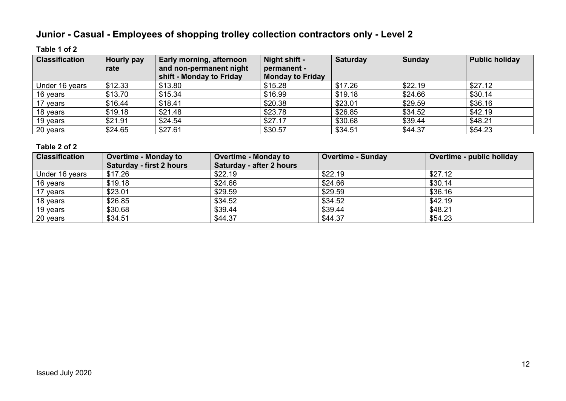# **Junior - Casual - Employees of shopping trolley collection contractors only - Level 2**

#### **Table 1 of 2**

| <b>Classification</b> | Hourly pay | Early morning, afternoon                            | Night shift -                          | <b>Saturday</b> | <b>Sunday</b> | <b>Public holiday</b> |
|-----------------------|------------|-----------------------------------------------------|----------------------------------------|-----------------|---------------|-----------------------|
|                       | rate       | and non-permanent night<br>shift - Monday to Friday | permanent -<br><b>Monday to Friday</b> |                 |               |                       |
|                       |            |                                                     |                                        |                 |               |                       |
| Under 16 years        | \$12.33    | \$13.80                                             | \$15.28                                | \$17.26         | \$22.19       | \$27.12               |
| 16 years              | \$13.70    | \$15.34                                             | \$16.99                                | \$19.18         | \$24.66       | \$30.14               |
| 17 years              | \$16.44    | \$18.41                                             | \$20.38                                | \$23.01         | \$29.59       | \$36.16               |
| 18 years              | \$19.18    | \$21.48                                             | \$23.78                                | \$26.85         | \$34.52       | \$42.19               |
| 19 years              | \$21.91    | \$24.54                                             | \$27.17                                | \$30.68         | \$39.44       | \$48.21               |
| 20 years              | \$24.65    | \$27.61                                             | \$30.57                                | \$34.51         | \$44.37       | \$54.23               |

| <b>Classification</b> | <b>Overtime - Monday to</b> | <b>Overtime - Monday to</b> | <b>Overtime - Sunday</b> | Overtime - public holiday |
|-----------------------|-----------------------------|-----------------------------|--------------------------|---------------------------|
|                       | Saturday - first 2 hours    | Saturday - after 2 hours    |                          |                           |
| Under 16 years        | \$17.26                     | \$22.19                     | \$22.19                  | \$27.12                   |
| 16 years              | \$19.18                     | \$24.66                     | \$24.66                  | \$30.14                   |
| 17 years              | \$23.01                     | \$29.59                     | \$29.59                  | \$36.16                   |
| 18 years              | \$26.85                     | \$34.52                     | \$34.52                  | \$42.19                   |
| 19 years              | \$30.68                     | \$39.44                     | \$39.44                  | \$48.21                   |
| 20 years              | \$34.51                     | \$44.37                     | \$44.37                  | \$54.23                   |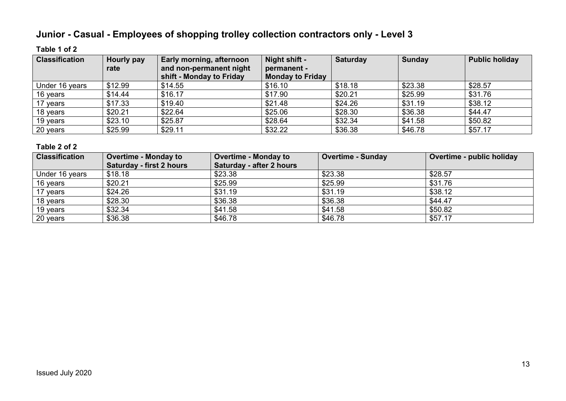# **Junior - Casual - Employees of shopping trolley collection contractors only - Level 3**

#### **Table 1 of 2**

| <b>Classification</b> | Hourly pay | Early morning, afternoon | Night shift -           | <b>Saturday</b> | Sunday  | <b>Public holiday</b> |
|-----------------------|------------|--------------------------|-------------------------|-----------------|---------|-----------------------|
|                       | rate       | and non-permanent night  | permanent -             |                 |         |                       |
|                       |            | shift - Monday to Friday | <b>Monday to Friday</b> |                 |         |                       |
| Under 16 years        | \$12.99    | \$14.55                  | \$16.10                 | \$18.18         | \$23.38 | \$28.57               |
| 16 years              | \$14.44    | \$16.17                  | \$17.90                 | \$20.21         | \$25.99 | \$31.76               |
| 17 years              | \$17.33    | \$19.40                  | \$21.48                 | \$24.26         | \$31.19 | \$38.12               |
| 18 years              | \$20.21    | \$22.64                  | \$25.06                 | \$28.30         | \$36.38 | \$44.47               |
| 19 years              | \$23.10    | \$25.87                  | \$28.64                 | \$32.34         | \$41.58 | \$50.82               |
| 20 years              | \$25.99    | \$29.11                  | \$32.22                 | \$36.38         | \$46.78 | \$57.17               |

| <b>Classification</b> | <b>Overtime - Monday to</b> | <b>Overtime - Monday to</b> | <b>Overtime - Sunday</b> | Overtime - public holiday |
|-----------------------|-----------------------------|-----------------------------|--------------------------|---------------------------|
|                       | Saturday - first 2 hours    | Saturday - after 2 hours    |                          |                           |
| Under 16 years        | \$18.18                     | \$23.38                     | \$23.38                  | \$28.57                   |
| 16 years              | \$20.21                     | \$25.99                     | \$25.99                  | \$31.76                   |
| 17 years              | \$24.26                     | \$31.19                     | \$31.19                  | \$38.12                   |
| 18 years              | \$28.30                     | \$36.38                     | \$36.38                  | \$44.47                   |
| 19 years              | \$32.34                     | \$41.58                     | \$41.58                  | \$50.82                   |
| 20 years              | \$36.38                     | \$46.78                     | \$46.78                  | \$57.17                   |